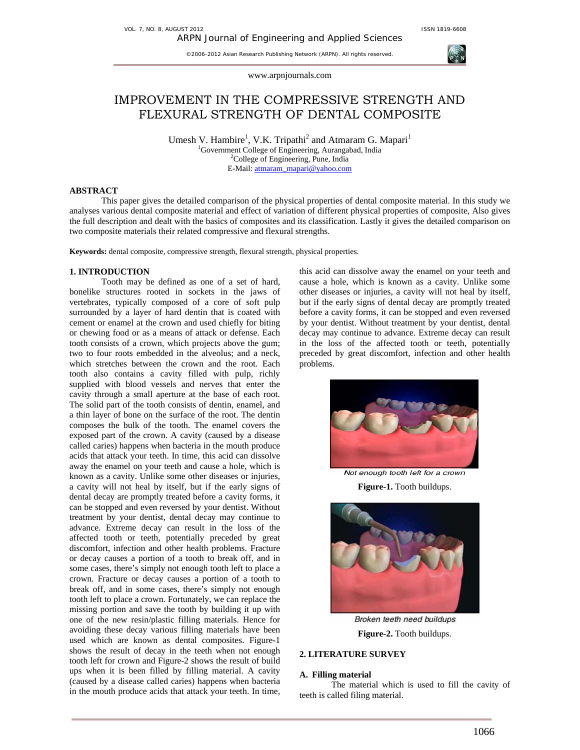©2006-2012 Asian Research Publishing Network (ARPN). All rights reserved.



www.arpnjournals.com

# IMPROVEMENT IN THE COMPRESSIVE STRENGTH AND FLEXURAL STRENGTH OF DENTAL COMPOSITE

Umesh V. Hambire<sup>1</sup>, V.K. Tripathi<sup>2</sup> and Atmaram G. Mapari<sup>1</sup> <sup>1</sup>Government College of Engineering, Aurangabad, India <sup>2</sup>College of Engineering, Pune, India <sup>2</sup>College of Engineering, Pune, India E-Mail: atmaram\_mapari@yahoo.com

## **ABSTRACT**

This paper gives the detailed comparison of the physical properties of dental composite material. In this study we analyses various dental composite material and effect of variation of different physical properties of composite, Also gives the full description and dealt with the basics of composites and its classification. Lastly it gives the detailed comparison on two composite materials their related compressive and flexural strengths.

**Keywords:** dental composite, compressive strength, flexural strength, physical properties.

# **1. INTRODUCTION**

Tooth may be defined as one of a set of hard, bonelike structures rooted in sockets in the jaws of vertebrates, typically composed of a core of soft pulp surrounded by a layer of hard dentin that is coated with cement or enamel at the crown and used chiefly for biting or chewing food or as a means of attack or defense. Each tooth consists of a crown, which projects above the gum; two to four roots embedded in the alveolus; and a neck, which stretches between the crown and the root. Each tooth also contains a cavity filled with pulp, richly supplied with blood vessels and nerves that enter the cavity through a small aperture at the base of each root. The solid part of the tooth consists of dentin, enamel, and a thin layer of bone on the surface of the root. The dentin composes the bulk of the tooth. The enamel covers the exposed part of the crown. A cavity (caused by a disease called caries) happens when bacteria in the mouth produce acids that attack your teeth. In time, this acid can dissolve away the enamel on your teeth and cause a hole, which is known as a cavity. Unlike some other diseases or injuries, a cavity will not heal by itself, but if the early signs of dental decay are promptly treated before a cavity forms, it can be stopped and even reversed by your dentist. Without treatment by your dentist, dental decay may continue to advance. Extreme decay can result in the loss of the affected tooth or teeth, potentially preceded by great discomfort, infection and other health problems. Fracture or decay causes a portion of a tooth to break off, and in some cases, there's simply not enough tooth left to place a crown. Fracture or decay causes a portion of a tooth to break off, and in some cases, there's simply not enough tooth left to place a crown. Fortunately, we can replace the missing portion and save the tooth by building it up with one of the new resin/plastic filling materials. Hence for avoiding these decay various filling materials have been used which are known as dental composites. Figure-1 shows the result of decay in the teeth when not enough tooth left for crown and Figure-2 shows the result of build ups when it is been filled by filling material. A cavity (caused by a disease called caries) happens when bacteria in the mouth produce acids that attack your teeth. In time, this acid can dissolve away the enamel on your teeth and cause a hole, which is known as a cavity. Unlike some other diseases or injuries, a cavity will not heal by itself, but if the early signs of dental decay are promptly treated before a cavity forms, it can be stopped and even reversed by your dentist. Without treatment by your dentist, dental decay may continue to advance. Extreme decay can result in the loss of the affected tooth or teeth, potentially preceded by great discomfort, infection and other health problems.



Not enough tooth left for a crown **Figure-1.** Tooth buildups.



Broken teeth need buildups **Figure-2.** Tooth buildups.

## **2. LITERATURE SURVEY**

#### **A. Filling material**

 The material which is used to fill the cavity of teeth is called filing material.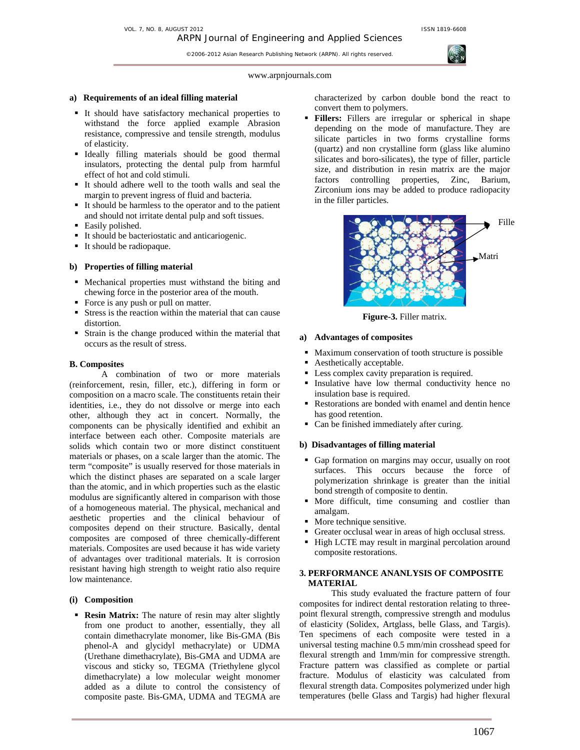©2006-2012 Asian Research Publishing Network (ARPN). All rights reserved.

## www.arpnjournals.com

#### **a) Requirements of an ideal filling material**

- It should have satisfactory mechanical properties to withstand the force applied example Abrasion resistance, compressive and tensile strength, modulus of elasticity.
- Ideally filling materials should be good thermal insulators, protecting the dental pulp from harmful effect of hot and cold stimuli.
- It should adhere well to the tooth walls and seal the margin to prevent ingress of fluid and bacteria.
- It should be harmless to the operator and to the patient and should not irritate dental pulp and soft tissues.
- Easily polished.
- It should be bacteriostatic and anticariogenic.
- It should be radiopaque.

#### **b) Properties of filling material**

- Mechanical properties must withstand the biting and chewing force in the posterior area of the mouth.
- Force is any push or pull on matter.
- Stress is the reaction within the material that can cause distortion.
- Strain is the change produced within the material that occurs as the result of stress.

## **B. Composites**

 A combination of two or more materials (reinforcement, resin, filler, etc.), differing in form or composition on a macro scale. The constituents retain their identities, i.e., they do not dissolve or merge into each other, although they act in concert. Normally, the components can be physically identified and exhibit an interface between each other. Composite materials are solids which contain two or more distinct constituent materials or phases, on a scale larger than the atomic. The term "composite" is usually reserved for those materials in which the distinct phases are separated on a scale larger than the atomic, and in which properties such as the elastic modulus are significantly altered in comparison with those of a homogeneous material. The physical, mechanical and aesthetic properties and the clinical behaviour of composites depend on their structure. Basically, dental composites are composed of three chemically-different materials. Composites are used because it has wide variety of advantages over traditional materials. It is corrosion resistant having high strength to weight ratio also require low maintenance.

## **(i) Composition**

**Resin Matrix:** The nature of resin may alter slightly from one product to another, essentially, they all contain dimethacrylate monomer, like Bis-GMA (Bis phenol-A and glycidyl methacrylate) or UDMA (Urethane dimethacrylate), Bis-GMA and UDMA are viscous and sticky so, TEGMA (Triethylene glycol dimethacrylate) a low molecular weight monomer added as a dilute to control the consistency of composite paste. Bis-GMA, UDMA and TEGMA are characterized by carbon double bond the react to convert them to polymers.

 **Fillers:** Fillers are irregular or spherical in shape depending on the mode of manufacture. They are silicate particles in two forms crystalline forms (quartz) and non crystalline form (glass like alumino silicates and boro-silicates), the type of filler, particle size, and distribution in resin matrix are the major factors controlling properties, Zinc, Barium, Zirconium ions may be added to produce radiopacity in the filler particles.



**Figure-3.** Filler matrix.

## **a) Advantages of composites**

- Maximum conservation of tooth structure is possible
- Aesthetically acceptable.
- Less complex cavity preparation is required.
- Insulative have low thermal conductivity hence no insulation base is required.
- Restorations are bonded with enamel and dentin hence has good retention.
- Can be finished immediately after curing.

### **b) Disadvantages of filling material**

- Gap formation on margins may occur, usually on root surfaces. This occurs because the force of polymerization shrinkage is greater than the initial bond strength of composite to dentin.
- More difficult, time consuming and costlier than amalgam.
- **More technique sensitive.**
- Greater occlusal wear in areas of high occlusal stress.
- High LCTE may result in marginal percolation around composite restorations.

# **3. PERFORMANCE ANANLYSIS OF COMPOSITE MATERIAL**

 This study evaluated the fracture pattern of four composites for indirect dental restoration relating to threepoint flexural strength, compressive strength and modulus of elasticity (Solidex, Artglass, belle Glass, and Targis). Ten specimens of each composite were tested in a universal testing machine 0.5 mm/min crosshead speed for flexural strength and 1mm/min for compressive strength. Fracture pattern was classified as complete or partial fracture. Modulus of elasticity was calculated from flexural strength data. Composites polymerized under high temperatures (belle Glass and Targis) had higher flexural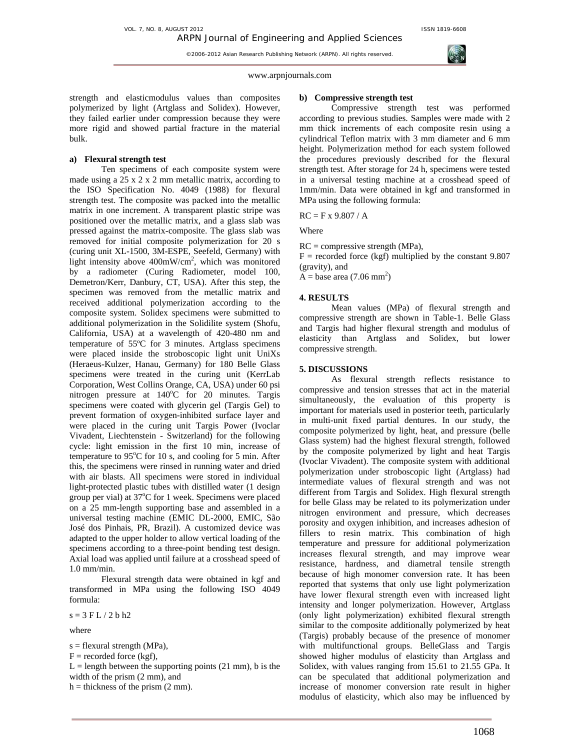VOL. 7, NO. 8, AUGUST 2012 **ISSN 1819-6608** 

©2006-2012 Asian Research Publishing Network (ARPN). All rights reserved.



#### www.arpnjournals.com

strength and elasticmodulus values than composites polymerized by light (Artglass and Solidex). However, they failed earlier under compression because they were more rigid and showed partial fracture in the material bulk.

#### **a) Flexural strength test**

 Ten specimens of each composite system were made using a 25 x 2 x 2 mm metallic matrix, according to the ISO Specification No. 4049 (1988) for flexural strength test. The composite was packed into the metallic matrix in one increment. A transparent plastic stripe was positioned over the metallic matrix, and a glass slab was pressed against the matrix-composite. The glass slab was removed for initial composite polymerization for 20 s (curing unit XL-1500, 3M-ESPE, Seefeld, Germany) with light intensity above 400mW/cm2 , which was monitored by a radiometer (Curing Radiometer, model 100, Demetron/Kerr, Danbury, CT, USA). After this step, the specimen was removed from the metallic matrix and received additional polymerization according to the composite system. Solidex specimens were submitted to additional polymerization in the Solidilite system (Shofu, California, USA) at a wavelength of 420-480 nm and temperature of 55ºC for 3 minutes. Artglass specimens were placed inside the stroboscopic light unit UniXs (Heraeus-Kulzer, Hanau, Germany) for 180 Belle Glass specimens were treated in the curing unit (KerrLab Corporation, West Collins Orange, CA, USA) under 60 psi nitrogen pressure at 140°C for 20 minutes. Targis specimens were coated with glycerin gel (Targis Gel) to prevent formation of oxygen-inhibited surface layer and were placed in the curing unit Targis Power (Ivoclar Vivadent, Liechtenstein - Switzerland) for the following cycle: light emission in the first 10 min, increase of temperature to 95°C for 10 s, and cooling for 5 min. After this, the specimens were rinsed in running water and dried with air blasts. All specimens were stored in individual light-protected plastic tubes with distilled water (1 design group per vial) at  $37^{\circ}$ C for 1 week. Specimens were placed on a 25 mm-length supporting base and assembled in a universal testing machine (EMIC DL-2000, EMIC, São José dos Pinhais, PR, Brazil). A customized device was adapted to the upper holder to allow vertical loading of the specimens according to a three-point bending test design. Axial load was applied until failure at a crosshead speed of 1.0 mm/min.

Flexural strength data were obtained in kgf and transformed in MPa using the following ISO 4049 formula:

 $s = 3$  F L  $/$  2 b h2

where

s = flexural strength (MPa),  $F =$  recorded force (kgf),  $L =$  length between the supporting points (21 mm), b is the width of the prism (2 mm), and  $h =$  thickness of the prism (2 mm).

# **b) Compressive strength test**

 Compressive strength test was performed according to previous studies. Samples were made with 2 mm thick increments of each composite resin using a cylindrical Teflon matrix with 3 mm diameter and 6 mm height. Polymerization method for each system followed the procedures previously described for the flexural strength test. After storage for 24 h, specimens were tested in a universal testing machine at a crosshead speed of 1mm/min. Data were obtained in kgf and transformed in MPa using the following formula:

 $RC = F x 9.807 / A$ 

Where

 $RC = \text{compressive strength (MPa)},$ 

 $F =$  recorded force (kgf) multiplied by the constant 9.807 (gravity), and

 $\overline{A}$  = base area (7.06 mm<sup>2</sup>)

# **4. RESULTS**

 Mean values (MPa) of flexural strength and compressive strength are shown in Table-1. Belle Glass and Targis had higher flexural strength and modulus of elasticity than Artglass and Solidex, but lower compressive strength.

## **5. DISCUSSIONS**

 As flexural strength reflects resistance to compressive and tension stresses that act in the material simultaneously, the evaluation of this property is important for materials used in posterior teeth, particularly in multi-unit fixed partial dentures. In our study, the composite polymerized by light, heat, and pressure (belle Glass system) had the highest flexural strength, followed by the composite polymerized by light and heat Targis (Ivoclar Vivadent). The composite system with additional polymerization under stroboscopic light (Artglass) had intermediate values of flexural strength and was not different from Targis and Solidex. High flexural strength for belle Glass may be related to its polymerization under nitrogen environment and pressure, which decreases porosity and oxygen inhibition, and increases adhesion of fillers to resin matrix. This combination of high temperature and pressure for additional polymerization increases flexural strength, and may improve wear resistance, hardness, and diametral tensile strength because of high monomer conversion rate. It has been reported that systems that only use light polymerization have lower flexural strength even with increased light intensity and longer polymerization. However, Artglass (only light polymerization) exhibited flexural strength similar to the composite additionally polymerized by heat (Targis) probably because of the presence of monomer with multifunctional groups. BelleGlass and Targis showed higher modulus of elasticity than Artglass and Solidex, with values ranging from 15.61 to 21.55 GPa. It can be speculated that additional polymerization and increase of monomer conversion rate result in higher modulus of elasticity, which also may be influenced by